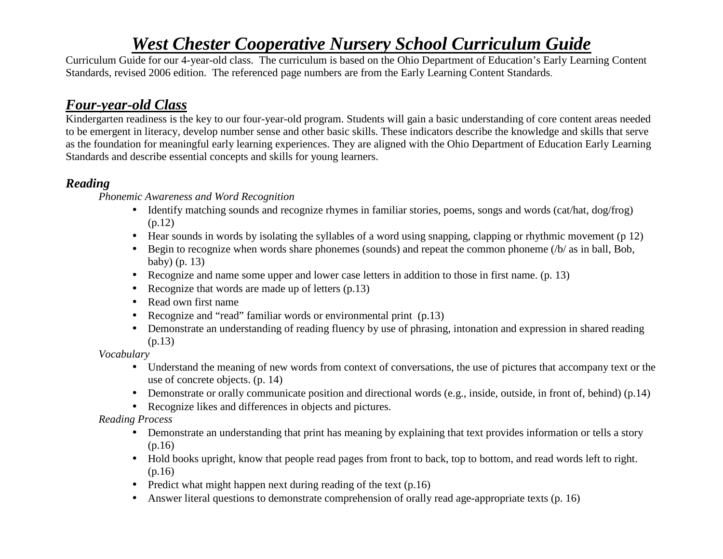Curriculum Guide for our 4-year-old class. The curriculum is based on the Ohio Department of Education's Early Learning Content Standards, revised 2006 edition. The referenced page numbers are from the Early Learning Content Standards.

## *Four-year-old Class*

 Kindergarten readiness is the key to our four-year-old program. Students will gain a basic understanding of core content areas needed to be emergent in literacy, develop number sense and other basic skills. These indicators describe the knowledge and skills that serve as the foundation for meaningful early learning experiences. They are aligned with the Ohio Department of Education Early Learning Standards and describe essential concepts and skills for young learners.

#### *Reading*

*Phonemic Awareness and Word Recognition* 

- Identify matching sounds and recognize rhymes in familiar stories, poems, songs and words (cat/hat, dog/frog) (p.12)
- Hear sounds in words by isolating the syllables of a word using snapping, clapping or rhythmic movement (p 12)
- Begin to recognize when words share phonemes (sounds) and repeat the common phoneme (/b/ as in ball, Bob, baby) (p. 13)
- Recognize and name some upper and lower case letters in addition to those in first name. (p. 13)
- Recognize that words are made up of letters (p.13)
- Read own first name
- Recognize and "read" familiar words or environmental print (p.13)
- Demonstrate an understanding of reading fluency by use of phrasing, intonation and expression in shared reading (p.13)

*Vocabulary* 

- Understand the meaning of new words from context of conversations, the use of pictures that accompany text or the use of concrete objects. (p. 14)
- Demonstrate or orally communicate position and directional words (e.g., inside, outside, in front of, behind) (p.14)
- Recognize likes and differences in objects and pictures.

*Reading Process* 

- Demonstrate an understanding that print has meaning by explaining that text provides information or tells a story (p.16)
- Hold books upright, know that people read pages from front to back, top to bottom, and read words left to right. (p.16)
- Predict what might happen next during reading of the text (p.16)
- Answer literal questions to demonstrate comprehension of orally read age-appropriate texts (p. 16)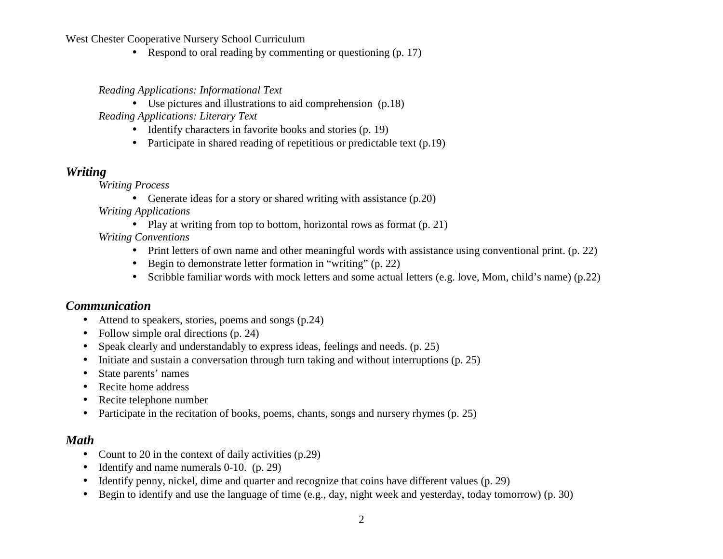• Respond to oral reading by commenting or questioning (p. 17)

#### *Reading Applications: Informational Text*

- Use pictures and illustrations to aid comprehension (p.18)  *Reading Applications: Literary Text* 
	- Identify characters in favorite books and stories (p. 19)
	- Participate in shared reading of repetitious or predictable text (p.19)

#### *Writing*

*Writing Process* 

• Generate ideas for a story or shared writing with assistance (p.20)

*Writing Applications* 

• Play at writing from top to bottom, horizontal rows as format (p. 21)

*Writing Conventions*

- Print letters of own name and other meaningful words with assistance using conventional print. (p. 22)
- Begin to demonstrate letter formation in "writing" (p. 22)
- Scribble familiar words with mock letters and some actual letters (e.g. love, Mom, child's name) (p.22)

#### *Communication*

- Attend to speakers, stories, poems and songs (p.24)
- Follow simple oral directions (p. 24)
- $\bullet$ Speak clearly and understandably to express ideas, feelings and needs. (p. 25)
- $\bullet$ Initiate and sustain a conversation through turn taking and without interruptions (p. 25)
- •State parents' names
- Recite home address
- $\bullet$ Recite telephone number
- $\bullet$ Participate in the recitation of books, poems, chants, songs and nursery rhymes (p. 25)

#### *Math*

- $\bullet$ Count to 20 in the context of daily activities (p.29)
- •Identify and name numerals 0-10. (p. 29)
- $\bullet$ Identify penny, nickel, dime and quarter and recognize that coins have different values (p. 29)
- $\bullet$ Begin to identify and use the language of time (e.g., day, night week and yesterday, today tomorrow) (p. 30)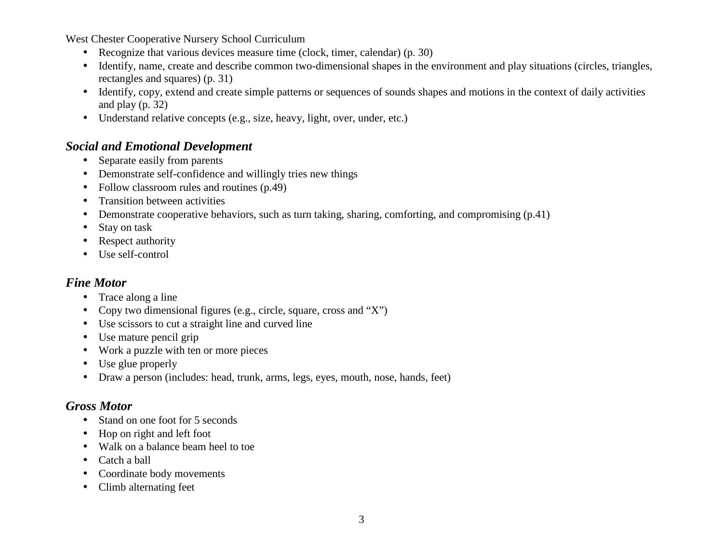- Recognize that various devices measure time (clock, timer, calendar) (p. 30)
- Identify, name, create and describe common two-dimensional shapes in the environment and play situations (circles, triangles, rectangles and squares) (p. 31)
- Identify, copy, extend and create simple patterns or sequences of sounds shapes and motions in the context of daily activities and play (p. 32)
- Understand relative concepts (e.g., size, heavy, light, over, under, etc.)

#### *Social and Emotional Development*

- Separate easily from parents
- $\bullet$ Demonstrate self-confidence and willingly tries new things
- $\bullet$ Follow classroom rules and routines (p.49)
- $\bullet$ Transition between activities
- •Demonstrate cooperative behaviors, such as turn taking, sharing, comforting, and compromising (p.41)
- •Stay on task
- $\bullet$ Respect authority
- Use self-control

#### *Fine Motor*

- Trace along a line
- •Copy two dimensional figures (e.g., circle, square, cross and "X")
- Use scissors to cut a straight line and curved line
- $\bullet$ Use mature pencil grip
- •Work a puzzle with ten or more pieces
- •Use glue properly
- $\bullet$ Draw a person (includes: head, trunk, arms, legs, eyes, mouth, nose, hands, feet)

## *Gross Motor*

- Stand on one foot for 5 seconds •
- $\bullet$ Hop on right and left foot
- Walk on a balance beam heel to toe
- •Catch a ball
- •Coordinate body movements
- $\bullet$ Climb alternating feet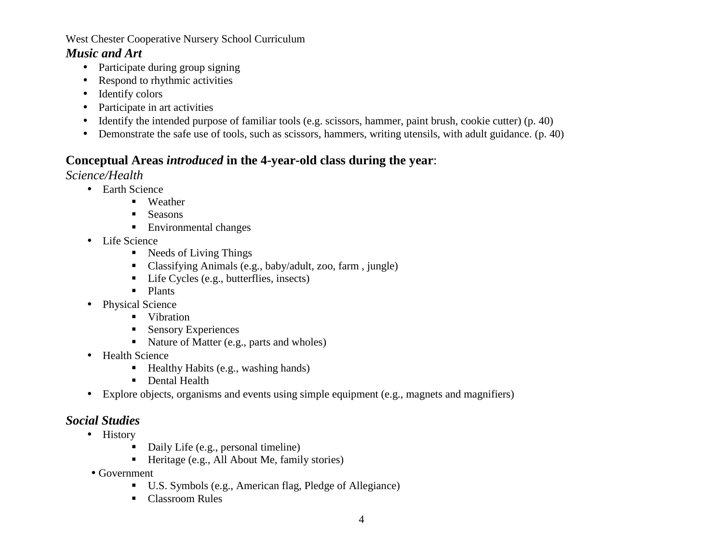#### *Music and Art*

- Participate during group signing
- $\bullet$ Respond to rhythmic activities
- Identify colors
- Participate in art activities
- $\bullet$ Identify the intended purpose of familiar tools (e.g. scissors, hammer, paint brush, cookie cutter) (p. 40)
- Demonstrate the safe use of tools, such as scissors, hammers, writing utensils, with adult guidance. (p. 40)

### **Conceptual Areas** *introduced* **in the 4-year-old class during the year**:

*Science/Health*

- Earth Science
	- Weather
	- **Seasons**
	- Environmental changes
- Life Science
	- Needs of Living Things
	- Classifying Animals (e.g., baby/adult, zoo, farm , jungle)
	- Life Cycles (e.g., butterflies, insects)
	- Plants
- Physical Science
	- Vibration
	- Sensory Experiences
	- Nature of Matter (e.g., parts and wholes)
- Health Science
	- Healthy Habits (e.g., washing hands)
	- Dental Health
- Explore objects, organisms and events using simple equipment (e.g., magnets and magnifiers)

## *Social Studies*

- History
	- Daily Life (e.g., personal timeline)
	- Heritage (e.g., All About Me, family stories)
- Government
	- U.S. Symbols (e.g., American flag, Pledge of Allegiance)
	- Classroom Rules